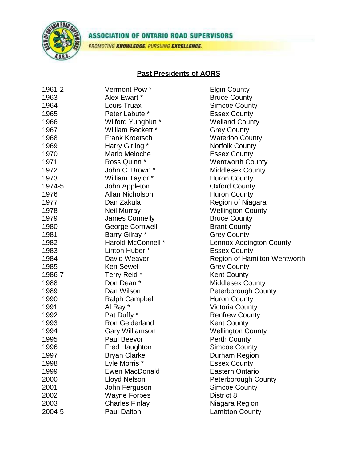

PROMOTING KNOWLEDGE. PURSUING EXCELLENCE.

## **Past Presidents of AORS**

| 1961-2 | Vermont Pow <sup>*</sup> | <b>Elgin County</b>          |
|--------|--------------------------|------------------------------|
| 1963   | Alex Ewart *             | <b>Bruce County</b>          |
| 1964   | Louis Truax              | <b>Simcoe County</b>         |
| 1965   | Peter Labute *           | <b>Essex County</b>          |
| 1966   | Wilford Yungblut *       | <b>Welland County</b>        |
| 1967   | William Beckett *        | <b>Grey County</b>           |
| 1968   | <b>Frank Kroetsch</b>    | <b>Waterloo County</b>       |
| 1969   | Harry Girling *          | <b>Norfolk County</b>        |
| 1970   | Mario Meloche            | <b>Essex County</b>          |
| 1971   | Ross Quinn *             | <b>Wentworth County</b>      |
| 1972   | John C. Brown *          | <b>Middlesex County</b>      |
| 1973   | William Taylor *         | <b>Huron County</b>          |
| 1974-5 | John Appleton            | <b>Oxford County</b>         |
| 1976   | <b>Allan Nicholson</b>   | <b>Huron County</b>          |
| 1977   | Dan Zakula               | Region of Niagara            |
| 1978   | <b>Neil Murray</b>       | <b>Wellington County</b>     |
| 1979   | James Connelly           | <b>Bruce County</b>          |
| 1980   | <b>George Cornwell</b>   | <b>Brant County</b>          |
| 1981   | Barry Gilray *           | <b>Grey County</b>           |
| 1982   | Harold McConnell *       | Lennox-Addington County      |
| 1983   | Linton Huber *           | <b>Essex County</b>          |
| 1984   | David Weaver             | Region of Hamilton-Wentworth |
| 1985   | <b>Ken Sewell</b>        | <b>Grey County</b>           |
| 1986-7 | Terry Reid *             | <b>Kent County</b>           |
| 1988   | Don Dean *               | <b>Middlesex County</b>      |
| 1989   | Dan Wilson               | <b>Peterborough County</b>   |
| 1990   | <b>Ralph Campbell</b>    | <b>Huron County</b>          |
| 1991   | Al Ray *                 | <b>Victoria County</b>       |
| 1992   | Pat Duffy *              | <b>Renfrew County</b>        |
| 1993   | <b>Ron Gelderland</b>    | <b>Kent County</b>           |
| 1994   | <b>Gary Williamson</b>   | <b>Wellington County</b>     |
| 1995   | Paul Beevor              | <b>Perth County</b>          |
| 1996   | <b>Fred Haughton</b>     | Simcoe County                |
| 1997   | <b>Bryan Clarke</b>      | Durham Region                |
| 1998   | Lyle Morris *            | <b>Essex County</b>          |
| 1999   | Ewen MacDonald           | <b>Eastern Ontario</b>       |
| 2000   | <b>Lloyd Nelson</b>      | <b>Peterborough County</b>   |
| 2001   | John Ferguson            | <b>Simcoe County</b>         |
| 2002   | <b>Wayne Forbes</b>      | District 8                   |
| 2003   | <b>Charles Finlay</b>    | Niagara Region               |
| 2004-5 | Paul Dalton              | <b>Lambton County</b>        |